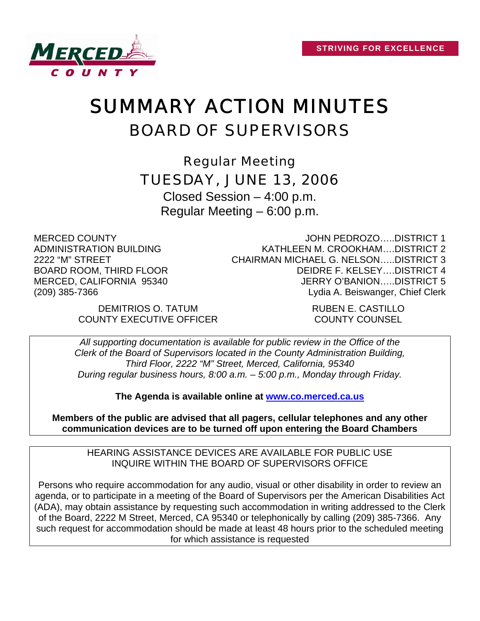

# SUMMARY ACTION MINUTES BOARD OF SUPERVISORS

Regular Meeting TUESDAY, JUNE 13, 2006

Closed Session – 4:00 p.m. Regular Meeting – 6:00 p.m.

MERCED COUNTY ADMINISTRATION BUILDING 2222 "M" STREET BOARD ROOM, THIRD FLOOR MERCED, CALIFORNIA 95340 (209) 385-7366

JOHN PEDROZO…..DISTRICT 1 KATHLEEN M. CROOKHAM….DISTRICT 2 CHAIRMAN MICHAEL G. NELSON…..DISTRICT 3 DEIDRE F. KELSEY….DISTRICT 4 JERRY O'BANION…..DISTRICT 5 Lydia A. Beiswanger, Chief Clerk

DEMITRIOS O. TATUM RUBEN E. CASTILLO COUNTY EXECUTIVE OFFICER COUNTY COUNSEL

*All supporting documentation is available for public review in the Office of the Clerk of the Board of Supervisors located in the County Administration Building, Third Floor, 2222 "M" Street, Merced, California, 95340 During regular business hours, 8:00 a.m. – 5:00 p.m., Monday through Friday.* 

**The Agenda is available online at [www.co.merced.ca.us](http://www.co.merced.ca.us/)**

**Members of the public are advised that all pagers, cellular telephones and any other communication devices are to be turned off upon entering the Board Chambers**

HEARING ASSISTANCE DEVICES ARE AVAILABLE FOR PUBLIC USE INQUIRE WITHIN THE BOARD OF SUPERVISORS OFFICE

Persons who require accommodation for any audio, visual or other disability in order to review an agenda, or to participate in a meeting of the Board of Supervisors per the American Disabilities Act (ADA), may obtain assistance by requesting such accommodation in writing addressed to the Clerk of the Board, 2222 M Street, Merced, CA 95340 or telephonically by calling (209) 385-7366. Any such request for accommodation should be made at least 48 hours prior to the scheduled meeting for which assistance is requested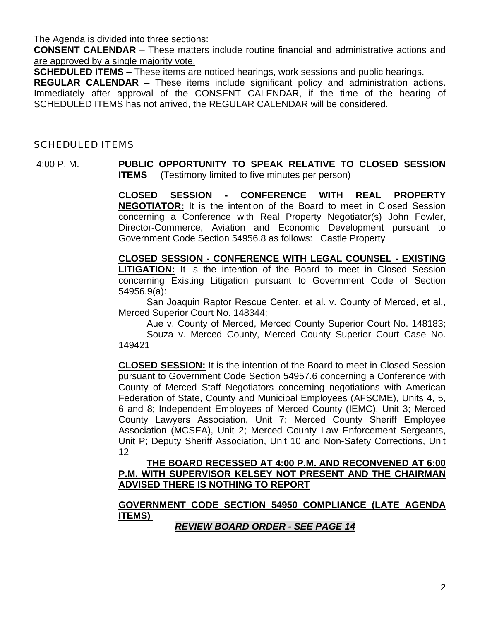The Agenda is divided into three sections:

**CONSENT CALENDAR** – These matters include routine financial and administrative actions and are approved by a single majority vote.

**SCHEDULED ITEMS** – These items are noticed hearings, work sessions and public hearings.

**REGULAR CALENDAR** – These items include significant policy and administration actions. Immediately after approval of the CONSENT CALENDAR, if the time of the hearing of SCHEDULED ITEMS has not arrived, the REGULAR CALENDAR will be considered.

#### SCHEDULED ITEMS

 4:00 P. M. **PUBLIC OPPORTUNITY TO SPEAK RELATIVE TO CLOSED SESSION ITEMS** (Testimony limited to five minutes per person)

> **CLOSED SESSION - CONFERENCE WITH REAL PROPERTY NEGOTIATOR:** It is the intention of the Board to meet in Closed Session concerning a Conference with Real Property Negotiator(s) John Fowler, Director-Commerce, Aviation and Economic Development pursuant to Government Code Section 54956.8 as follows: Castle Property

> **CLOSED SESSION - CONFERENCE WITH LEGAL COUNSEL - EXISTING LITIGATION:** It is the intention of the Board to meet in Closed Session concerning Existing Litigation pursuant to Government Code of Section 54956.9(a):

> San Joaquin Raptor Rescue Center, et al. v. County of Merced, et al., Merced Superior Court No. 148344;

> Aue v. County of Merced, Merced County Superior Court No. 148183; Souza v. Merced County, Merced County Superior Court Case No. 149421

> **CLOSED SESSION:** It is the intention of the Board to meet in Closed Session pursuant to Government Code Section 54957.6 concerning a Conference with County of Merced Staff Negotiators concerning negotiations with American Federation of State, County and Municipal Employees (AFSCME), Units 4, 5, 6 and 8; Independent Employees of Merced County (IEMC), Unit 3; Merced County Lawyers Association, Unit 7; Merced County Sheriff Employee Association (MCSEA), Unit 2; Merced County Law Enforcement Sergeants, Unit P; Deputy Sheriff Association, Unit 10 and Non-Safety Corrections, Unit 12

#### **THE BOARD RECESSED AT 4:00 P.M. AND RECONVENED AT 6:00 P.M. WITH SUPERVISOR KELSEY NOT PRESENT AND THE CHAIRMAN ADVISED THERE IS NOTHING TO REPORT**

#### **GOVERNMENT CODE SECTION 54950 COMPLIANCE (LATE AGENDA ITEMS)**

*REVIEW BOARD ORDER - SEE PAGE 14*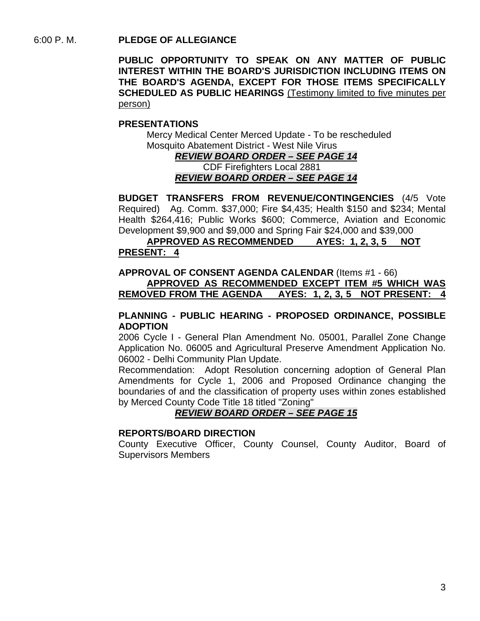6:00 P. M. **PLEDGE OF ALLEGIANCE** 

**PUBLIC OPPORTUNITY TO SPEAK ON ANY MATTER OF PUBLIC INTEREST WITHIN THE BOARD'S JURISDICTION INCLUDING ITEMS ON THE BOARD'S AGENDA, EXCEPT FOR THOSE ITEMS SPECIFICALLY SCHEDULED AS PUBLIC HEARINGS** (Testimony limited to five minutes per person)

#### **PRESENTATIONS**

Mercy Medical Center Merced Update - To be rescheduled Mosquito Abatement District - West Nile Virus

> *REVIEW BOARD ORDER – SEE PAGE 14* CDF Firefighters Local 2881 *REVIEW BOARD ORDER – SEE PAGE 14*

**BUDGET TRANSFERS FROM REVENUE/CONTINGENCIES** (4/5 Vote Required) Ag. Comm. \$37,000; Fire \$4,435; Health \$150 and \$234; Mental Health \$264,416; Public Works \$600; Commerce, Aviation and Economic Development \$9,900 and \$9,000 and Spring Fair \$24,000 and \$39,000

**APPROVED AS RECOMMENDED AYES: 1, 2, 3, 5 NOT PRESENT: 4**

**APPROVAL OF CONSENT AGENDA CALENDAR** (Items #1 - 66) **APPROVED AS RECOMMENDED EXCEPT ITEM #5 WHICH WAS REMOVED FROM THE AGENDA AYES: 1, 2, 3, 5 NOT PRESENT: 4**

#### **PLANNING - PUBLIC HEARING - PROPOSED ORDINANCE, POSSIBLE ADOPTION**

2006 Cycle I - General Plan Amendment No. 05001, Parallel Zone Change Application No. 06005 and Agricultural Preserve Amendment Application No. 06002 - Delhi Community Plan Update.

Recommendation: Adopt Resolution concerning adoption of General Plan Amendments for Cycle 1, 2006 and Proposed Ordinance changing the boundaries of and the classification of property uses within zones established by Merced County Code Title 18 titled "Zoning"

#### *REVIEW BOARD ORDER – SEE PAGE 15*

#### **REPORTS/BOARD DIRECTION**

County Executive Officer, County Counsel, County Auditor, Board of Supervisors Members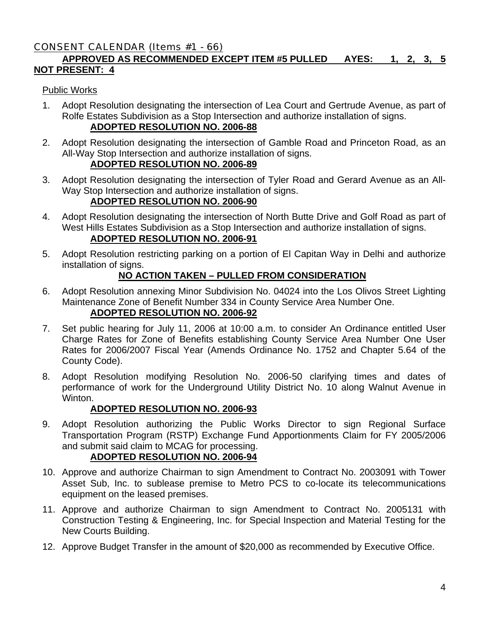# CONSENT CALENDAR (Items #1 - 66)

# **APPROVED AS RECOMMENDED EXCEPT ITEM #5 PULLED AYES: 1, 2, 3, 5 NOT PRESENT: 4**

#### Public Works

1. Adopt Resolution designating the intersection of Lea Court and Gertrude Avenue, as part of Rolfe Estates Subdivision as a Stop Intersection and authorize installation of signs.

#### **ADOPTED RESOLUTION NO. 2006-88**

2. Adopt Resolution designating the intersection of Gamble Road and Princeton Road, as an All-Way Stop Intersection and authorize installation of signs.

# **ADOPTED RESOLUTION NO. 2006-89**

3. Adopt Resolution designating the intersection of Tyler Road and Gerard Avenue as an All-Way Stop Intersection and authorize installation of signs.

# **ADOPTED RESOLUTION NO. 2006-90**

- 4. Adopt Resolution designating the intersection of North Butte Drive and Golf Road as part of West Hills Estates Subdivision as a Stop Intersection and authorize installation of signs. **ADOPTED RESOLUTION NO. 2006-91**
- 5. Adopt Resolution restricting parking on a portion of El Capitan Way in Delhi and authorize installation of signs.

#### **NO ACTION TAKEN – PULLED FROM CONSIDERATION**

- 6. Adopt Resolution annexing Minor Subdivision No. 04024 into the Los Olivos Street Lighting Maintenance Zone of Benefit Number 334 in County Service Area Number One. **ADOPTED RESOLUTION NO. 2006-92**
- 7. Set public hearing for July 11, 2006 at 10:00 a.m. to consider An Ordinance entitled User Charge Rates for Zone of Benefits establishing County Service Area Number One User Rates for 2006/2007 Fiscal Year (Amends Ordinance No. 1752 and Chapter 5.64 of the County Code).
- 8. Adopt Resolution modifying Resolution No. 2006-50 clarifying times and dates of performance of work for the Underground Utility District No. 10 along Walnut Avenue in Winton.

#### **ADOPTED RESOLUTION NO. 2006-93**

9. Adopt Resolution authorizing the Public Works Director to sign Regional Surface Transportation Program (RSTP) Exchange Fund Apportionments Claim for FY 2005/2006 and submit said claim to MCAG for processing.

#### **ADOPTED RESOLUTION NO. 2006-94**

- 10. Approve and authorize Chairman to sign Amendment to Contract No. 2003091 with Tower Asset Sub, Inc. to sublease premise to Metro PCS to co-locate its telecommunications equipment on the leased premises.
- 11. Approve and authorize Chairman to sign Amendment to Contract No. 2005131 with Construction Testing & Engineering, Inc. for Special Inspection and Material Testing for the New Courts Building.
- 12. Approve Budget Transfer in the amount of \$20,000 as recommended by Executive Office.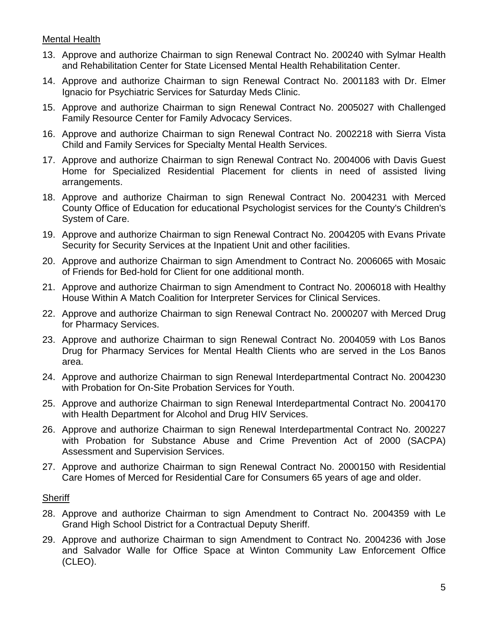#### Mental Health

- 13. Approve and authorize Chairman to sign Renewal Contract No. 200240 with Sylmar Health and Rehabilitation Center for State Licensed Mental Health Rehabilitation Center.
- 14. Approve and authorize Chairman to sign Renewal Contract No. 2001183 with Dr. Elmer Ignacio for Psychiatric Services for Saturday Meds Clinic.
- 15. Approve and authorize Chairman to sign Renewal Contract No. 2005027 with Challenged Family Resource Center for Family Advocacy Services.
- 16. Approve and authorize Chairman to sign Renewal Contract No. 2002218 with Sierra Vista Child and Family Services for Specialty Mental Health Services.
- 17. Approve and authorize Chairman to sign Renewal Contract No. 2004006 with Davis Guest Home for Specialized Residential Placement for clients in need of assisted living arrangements.
- 18. Approve and authorize Chairman to sign Renewal Contract No. 2004231 with Merced County Office of Education for educational Psychologist services for the County's Children's System of Care.
- 19. Approve and authorize Chairman to sign Renewal Contract No. 2004205 with Evans Private Security for Security Services at the Inpatient Unit and other facilities.
- 20. Approve and authorize Chairman to sign Amendment to Contract No. 2006065 with Mosaic of Friends for Bed-hold for Client for one additional month.
- 21. Approve and authorize Chairman to sign Amendment to Contract No. 2006018 with Healthy House Within A Match Coalition for Interpreter Services for Clinical Services.
- 22. Approve and authorize Chairman to sign Renewal Contract No. 2000207 with Merced Drug for Pharmacy Services.
- 23. Approve and authorize Chairman to sign Renewal Contract No. 2004059 with Los Banos Drug for Pharmacy Services for Mental Health Clients who are served in the Los Banos area.
- 24. Approve and authorize Chairman to sign Renewal Interdepartmental Contract No. 2004230 with Probation for On-Site Probation Services for Youth.
- 25. Approve and authorize Chairman to sign Renewal Interdepartmental Contract No. 2004170 with Health Department for Alcohol and Drug HIV Services.
- 26. Approve and authorize Chairman to sign Renewal Interdepartmental Contract No. 200227 with Probation for Substance Abuse and Crime Prevention Act of 2000 (SACPA) Assessment and Supervision Services.
- 27. Approve and authorize Chairman to sign Renewal Contract No. 2000150 with Residential Care Homes of Merced for Residential Care for Consumers 65 years of age and older.

#### **Sheriff**

- 28. Approve and authorize Chairman to sign Amendment to Contract No. 2004359 with Le Grand High School District for a Contractual Deputy Sheriff.
- 29. Approve and authorize Chairman to sign Amendment to Contract No. 2004236 with Jose and Salvador Walle for Office Space at Winton Community Law Enforcement Office (CLEO).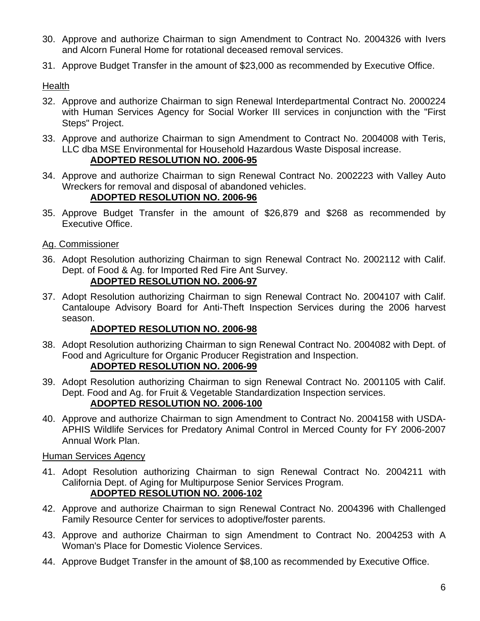- 30. Approve and authorize Chairman to sign Amendment to Contract No. 2004326 with Ivers and Alcorn Funeral Home for rotational deceased removal services.
- 31. Approve Budget Transfer in the amount of \$23,000 as recommended by Executive Office.

#### **Health**

- 32. Approve and authorize Chairman to sign Renewal Interdepartmental Contract No. 2000224 with Human Services Agency for Social Worker III services in conjunction with the "First Steps" Project.
- 33. Approve and authorize Chairman to sign Amendment to Contract No. 2004008 with Teris, LLC dba MSE Environmental for Household Hazardous Waste Disposal increase. **ADOPTED RESOLUTION NO. 2006-95**
- 34. Approve and authorize Chairman to sign Renewal Contract No. 2002223 with Valley Auto Wreckers for removal and disposal of abandoned vehicles.

#### **ADOPTED RESOLUTION NO. 2006-96**

- 35. Approve Budget Transfer in the amount of \$26,879 and \$268 as recommended by Executive Office.
- Ag. Commissioner
- 36. Adopt Resolution authorizing Chairman to sign Renewal Contract No. 2002112 with Calif. Dept. of Food & Ag. for Imported Red Fire Ant Survey.

#### **ADOPTED RESOLUTION NO. 2006-97**

37. Adopt Resolution authorizing Chairman to sign Renewal Contract No. 2004107 with Calif. Cantaloupe Advisory Board for Anti-Theft Inspection Services during the 2006 harvest season.

#### **ADOPTED RESOLUTION NO. 2006-98**

- 38. Adopt Resolution authorizing Chairman to sign Renewal Contract No. 2004082 with Dept. of Food and Agriculture for Organic Producer Registration and Inspection. **ADOPTED RESOLUTION NO. 2006-99**
- 39. Adopt Resolution authorizing Chairman to sign Renewal Contract No. 2001105 with Calif. Dept. Food and Ag. for Fruit & Vegetable Standardization Inspection services. **ADOPTED RESOLUTION NO. 2006-100**
- 40. Approve and authorize Chairman to sign Amendment to Contract No. 2004158 with USDA-APHIS Wildlife Services for Predatory Animal Control in Merced County for FY 2006-2007 Annual Work Plan.

#### Human Services Agency

- 41. Adopt Resolution authorizing Chairman to sign Renewal Contract No. 2004211 with California Dept. of Aging for Multipurpose Senior Services Program. **ADOPTED RESOLUTION NO. 2006-102**
- 42. Approve and authorize Chairman to sign Renewal Contract No. 2004396 with Challenged Family Resource Center for services to adoptive/foster parents.
- 43. Approve and authorize Chairman to sign Amendment to Contract No. 2004253 with A Woman's Place for Domestic Violence Services.
- 44. Approve Budget Transfer in the amount of \$8,100 as recommended by Executive Office.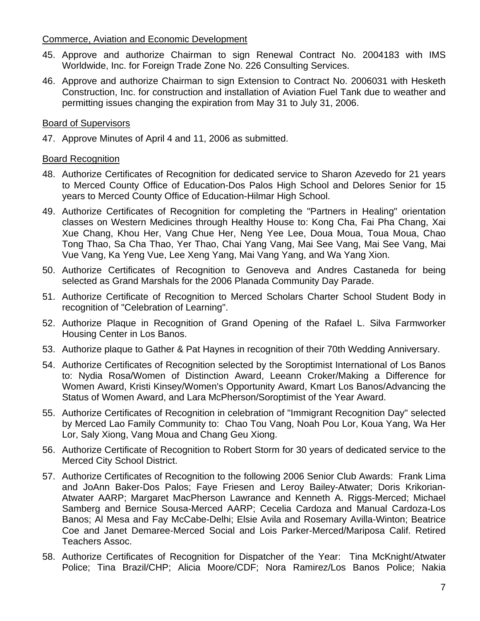#### Commerce, Aviation and Economic Development

- 45. Approve and authorize Chairman to sign Renewal Contract No. 2004183 with IMS Worldwide, Inc. for Foreign Trade Zone No. 226 Consulting Services.
- 46. Approve and authorize Chairman to sign Extension to Contract No. 2006031 with Hesketh Construction, Inc. for construction and installation of Aviation Fuel Tank due to weather and permitting issues changing the expiration from May 31 to July 31, 2006.

#### Board of Supervisors

47. Approve Minutes of April 4 and 11, 2006 as submitted.

#### **Board Recognition**

- 48. Authorize Certificates of Recognition for dedicated service to Sharon Azevedo for 21 years to Merced County Office of Education-Dos Palos High School and Delores Senior for 15 years to Merced County Office of Education-Hilmar High School.
- 49. Authorize Certificates of Recognition for completing the "Partners in Healing" orientation classes on Western Medicines through Healthy House to: Kong Cha, Fai Pha Chang, Xai Xue Chang, Khou Her, Vang Chue Her, Neng Yee Lee, Doua Moua, Toua Moua, Chao Tong Thao, Sa Cha Thao, Yer Thao, Chai Yang Vang, Mai See Vang, Mai See Vang, Mai Vue Vang, Ka Yeng Vue, Lee Xeng Yang, Mai Vang Yang, and Wa Yang Xion.
- 50. Authorize Certificates of Recognition to Genoveva and Andres Castaneda for being selected as Grand Marshals for the 2006 Planada Community Day Parade.
- 51. Authorize Certificate of Recognition to Merced Scholars Charter School Student Body in recognition of "Celebration of Learning".
- 52. Authorize Plaque in Recognition of Grand Opening of the Rafael L. Silva Farmworker Housing Center in Los Banos.
- 53. Authorize plaque to Gather & Pat Haynes in recognition of their 70th Wedding Anniversary.
- 54. Authorize Certificates of Recognition selected by the Soroptimist International of Los Banos to: Nydia Rosa/Women of Distinction Award, Leeann Croker/Making a Difference for Women Award, Kristi Kinsey/Women's Opportunity Award, Kmart Los Banos/Advancing the Status of Women Award, and Lara McPherson/Soroptimist of the Year Award.
- 55. Authorize Certificates of Recognition in celebration of "Immigrant Recognition Day" selected by Merced Lao Family Community to: Chao Tou Vang, Noah Pou Lor, Koua Yang, Wa Her Lor, Saly Xiong, Vang Moua and Chang Geu Xiong.
- 56. Authorize Certificate of Recognition to Robert Storm for 30 years of dedicated service to the Merced City School District.
- 57. Authorize Certificates of Recognition to the following 2006 Senior Club Awards: Frank Lima and JoAnn Baker-Dos Palos; Faye Friesen and Leroy Bailey-Atwater; Doris Krikorian-Atwater AARP; Margaret MacPherson Lawrance and Kenneth A. Riggs-Merced; Michael Samberg and Bernice Sousa-Merced AARP; Cecelia Cardoza and Manual Cardoza-Los Banos; Al Mesa and Fay McCabe-Delhi; Elsie Avila and Rosemary Avilla-Winton; Beatrice Coe and Janet Demaree-Merced Social and Lois Parker-Merced/Mariposa Calif. Retired Teachers Assoc.
- 58. Authorize Certificates of Recognition for Dispatcher of the Year: Tina McKnight/Atwater Police; Tina Brazil/CHP; Alicia Moore/CDF; Nora Ramirez/Los Banos Police; Nakia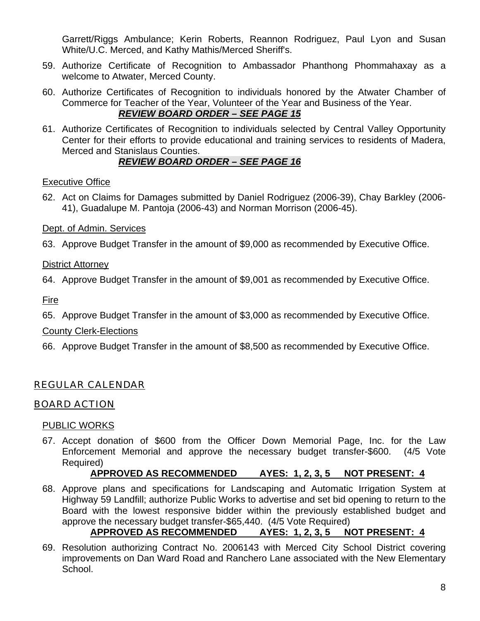Garrett/Riggs Ambulance; Kerin Roberts, Reannon Rodriguez, Paul Lyon and Susan White/U.C. Merced, and Kathy Mathis/Merced Sheriff's.

- 59. Authorize Certificate of Recognition to Ambassador Phanthong Phommahaxay as a welcome to Atwater, Merced County.
- 60. Authorize Certificates of Recognition to individuals honored by the Atwater Chamber of Commerce for Teacher of the Year, Volunteer of the Year and Business of the Year. *REVIEW BOARD ORDER – SEE PAGE 15*
- 61. Authorize Certificates of Recognition to individuals selected by Central Valley Opportunity Center for their efforts to provide educational and training services to residents of Madera, Merced and Stanislaus Counties.

# *REVIEW BOARD ORDER – SEE PAGE 16*

# Executive Office

62. Act on Claims for Damages submitted by Daniel Rodriguez (2006-39), Chay Barkley (2006- 41), Guadalupe M. Pantoja (2006-43) and Norman Morrison (2006-45).

# Dept. of Admin. Services

63. Approve Budget Transfer in the amount of \$9,000 as recommended by Executive Office.

# District Attorney

64. Approve Budget Transfer in the amount of \$9,001 as recommended by Executive Office.

Fire

65. Approve Budget Transfer in the amount of \$3,000 as recommended by Executive Office.

# County Clerk-Elections

66. Approve Budget Transfer in the amount of \$8,500 as recommended by Executive Office.

# REGULAR CALENDAR

# BOARD ACTION

# PUBLIC WORKS

67. Accept donation of \$600 from the Officer Down Memorial Page, Inc. for the Law Enforcement Memorial and approve the necessary budget transfer-\$600. (4/5 Vote Required)

# **APPROVED AS RECOMMENDED AYES: 1, 2, 3, 5 NOT PRESENT: 4**

- 68. Approve plans and specifications for Landscaping and Automatic Irrigation System at Highway 59 Landfill; authorize Public Works to advertise and set bid opening to return to the Board with the lowest responsive bidder within the previously established budget and approve the necessary budget transfer-\$65,440. (4/5 Vote Required) **APPROVED AS RECOMMENDED AYES: 1, 2, 3, 5 NOT PRESENT: 4**
- 69. Resolution authorizing Contract No. 2006143 with Merced City School District covering improvements on Dan Ward Road and Ranchero Lane associated with the New Elementary School.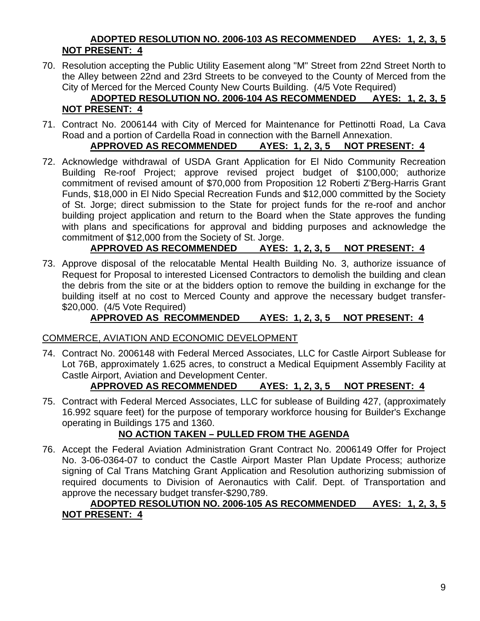#### **ADOPTED RESOLUTION NO. 2006-103 AS RECOMMENDED AYES: 1, 2, 3, 5 NOT PRESENT: 4**

70. Resolution accepting the Public Utility Easement along "M" Street from 22nd Street North to the Alley between 22nd and 23rd Streets to be conveyed to the County of Merced from the City of Merced for the Merced County New Courts Building. (4/5 Vote Required)

#### **ADOPTED RESOLUTION NO. 2006-104 AS RECOMMENDED AYES: 1, 2, 3, 5 NOT PRESENT: 4**

71. Contract No. 2006144 with City of Merced for Maintenance for Pettinotti Road, La Cava Road and a portion of Cardella Road in connection with the Barnell Annexation.

# **APPROVED AS RECOMMENDED AYES: 1, 2, 3, 5 NOT PRESENT: 4**

72. Acknowledge withdrawal of USDA Grant Application for El Nido Community Recreation Building Re-roof Project; approve revised project budget of \$100,000; authorize commitment of revised amount of \$70,000 from Proposition 12 Roberti Z'Berg-Harris Grant Funds, \$18,000 in El Nido Special Recreation Funds and \$12,000 committed by the Society of St. Jorge; direct submission to the State for project funds for the re-roof and anchor building project application and return to the Board when the State approves the funding with plans and specifications for approval and bidding purposes and acknowledge the commitment of \$12,000 from the Society of St. Jorge.

# **APPROVED AS RECOMMENDED AYES: 1, 2, 3, 5 NOT PRESENT: 4**

73. Approve disposal of the relocatable Mental Health Building No. 3, authorize issuance of Request for Proposal to interested Licensed Contractors to demolish the building and clean the debris from the site or at the bidders option to remove the building in exchange for the building itself at no cost to Merced County and approve the necessary budget transfer- \$20,000. (4/5 Vote Required)

# **APPROVED AS RECOMMENDED AYES: 1, 2, 3, 5 NOT PRESENT: 4**

#### COMMERCE, AVIATION AND ECONOMIC DEVELOPMENT

74. Contract No. 2006148 with Federal Merced Associates, LLC for Castle Airport Sublease for Lot 76B, approximately 1.625 acres, to construct a Medical Equipment Assembly Facility at Castle Airport, Aviation and Development Center.

#### **APPROVED AS RECOMMENDED AYES: 1, 2, 3, 5 NOT PRESENT: 4**

75. Contract with Federal Merced Associates, LLC for sublease of Building 427, (approximately 16.992 square feet) for the purpose of temporary workforce housing for Builder's Exchange operating in Buildings 175 and 1360.

#### **NO ACTION TAKEN – PULLED FROM THE AGENDA**

76. Accept the Federal Aviation Administration Grant Contract No. 2006149 Offer for Project No. 3-06-0364-07 to conduct the Castle Airport Master Plan Update Process; authorize signing of Cal Trans Matching Grant Application and Resolution authorizing submission of required documents to Division of Aeronautics with Calif. Dept. of Transportation and approve the necessary budget transfer-\$290,789.

#### **ADOPTED RESOLUTION NO. 2006-105 AS RECOMMENDED AYES: 1, 2, 3, 5 NOT PRESENT: 4**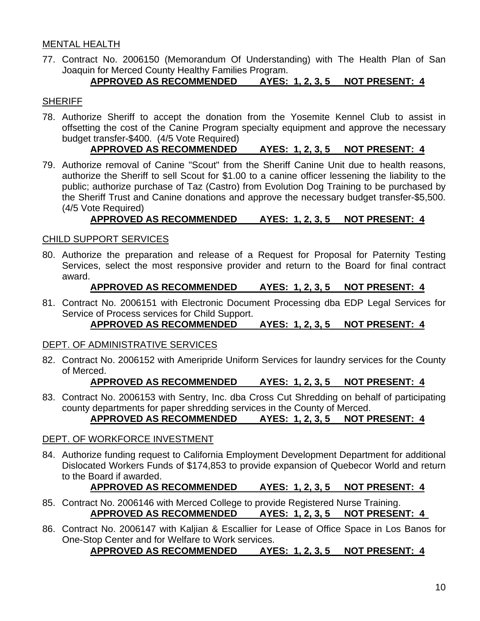#### MENTAL HEALTH

77. Contract No. 2006150 (Memorandum Of Understanding) with The Health Plan of San Joaquin for Merced County Healthy Families Program.

#### **APPROVED AS RECOMMENDED AYES: 1, 2, 3, 5 NOT PRESENT: 4**

#### **SHERIFF**

78. Authorize Sheriff to accept the donation from the Yosemite Kennel Club to assist in offsetting the cost of the Canine Program specialty equipment and approve the necessary budget transfer-\$400. (4/5 Vote Required)

#### **APPROVED AS RECOMMENDED AYES: 1, 2, 3, 5 NOT PRESENT: 4**

79. Authorize removal of Canine "Scout" from the Sheriff Canine Unit due to health reasons, authorize the Sheriff to sell Scout for \$1.00 to a canine officer lessening the liability to the public; authorize purchase of Taz (Castro) from Evolution Dog Training to be purchased by the Sheriff Trust and Canine donations and approve the necessary budget transfer-\$5,500. (4/5 Vote Required)

#### **APPROVED AS RECOMMENDED AYES: 1, 2, 3, 5 NOT PRESENT: 4**

#### CHILD SUPPORT SERVICES

80. Authorize the preparation and release of a Request for Proposal for Paternity Testing Services, select the most responsive provider and return to the Board for final contract award.

#### **APPROVED AS RECOMMENDED AYES: 1, 2, 3, 5 NOT PRESENT: 4**

81. Contract No. 2006151 with Electronic Document Processing dba EDP Legal Services for Service of Process services for Child Support.

**APPROVED AS RECOMMENDED AYES: 1, 2, 3, 5 NOT PRESENT: 4**

#### DEPT. OF ADMINISTRATIVE SERVICES

82. Contract No. 2006152 with Ameripride Uniform Services for laundry services for the County of Merced.

**APPROVED AS RECOMMENDED AYES: 1, 2, 3, 5 NOT PRESENT: 4**

83. Contract No. 2006153 with Sentry, Inc. dba Cross Cut Shredding on behalf of participating county departments for paper shredding services in the County of Merced. **APPROVED AS RECOMMENDED AYES: 1, 2, 3, 5 NOT PRESENT: 4**

# DEPT. OF WORKFORCE INVESTMENT

84. Authorize funding request to California Employment Development Department for additional Dislocated Workers Funds of \$174,853 to provide expansion of Quebecor World and return to the Board if awarded.

#### **APPROVED AS RECOMMENDED AYES: 1, 2, 3, 5 NOT PRESENT: 4**

- 85. Contract No. 2006146 with Merced College to provide Registered Nurse Training. **APPROVED AS RECOMMENDED AYES: 1, 2, 3, 5 NOT PRESENT: 4**
- 86. Contract No. 2006147 with Kaljian & Escallier for Lease of Office Space in Los Banos for One-Stop Center and for Welfare to Work services.

**APPROVED AS RECOMMENDED AYES: 1, 2, 3, 5 NOT PRESENT: 4**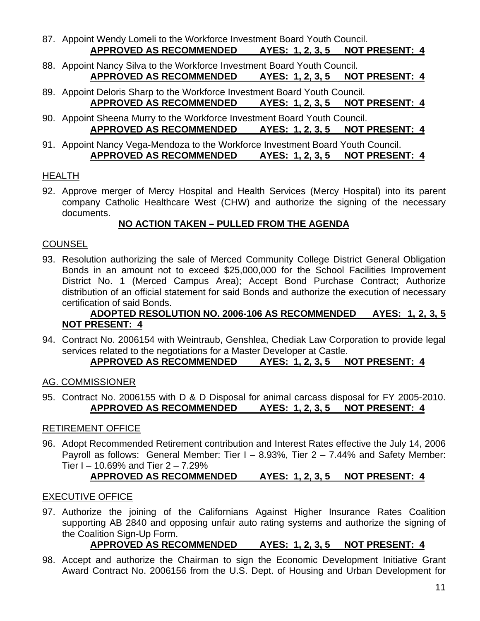- 87. Appoint Wendy Lomeli to the Workforce Investment Board Youth Council. **APPROVED AS RECOMMENDED AYES: 1, 2, 3, 5 NOT PRESENT: 4**
- 88. Appoint Nancy Silva to the Workforce Investment Board Youth Council. **APPROVED AS RECOMMENDED AYES: 1, 2, 3, 5 NOT PRESENT: 4**
- 89. Appoint Deloris Sharp to the Workforce Investment Board Youth Council. **APPROVED AS RECOMMENDED AYES: 1, 2, 3, 5 NOT PRESENT: 4**
- 90. Appoint Sheena Murry to the Workforce Investment Board Youth Council. **APPROVED AS RECOMMENDED AYES: 1, 2, 3, 5 NOT PRESENT: 4**
- 91. Appoint Nancy Vega-Mendoza to the Workforce Investment Board Youth Council. **APPROVED AS RECOMMENDED AYES: 1, 2, 3, 5 NOT PRESENT: 4**

#### HEALTH

92. Approve merger of Mercy Hospital and Health Services (Mercy Hospital) into its parent company Catholic Healthcare West (CHW) and authorize the signing of the necessary documents.

# **NO ACTION TAKEN – PULLED FROM THE AGENDA**

#### **COUNSEL**

93. Resolution authorizing the sale of Merced Community College District General Obligation Bonds in an amount not to exceed \$25,000,000 for the School Facilities Improvement District No. 1 (Merced Campus Area); Accept Bond Purchase Contract; Authorize distribution of an official statement for said Bonds and authorize the execution of necessary certification of said Bonds.

#### **ADOPTED RESOLUTION NO. 2006-106 AS RECOMMENDED AYES: 1, 2, 3, 5 NOT PRESENT: 4**

94. Contract No. 2006154 with Weintraub, Genshlea, Chediak Law Corporation to provide legal services related to the negotiations for a Master Developer at Castle.

# **APPROVED AS RECOMMENDED AYES: 1, 2, 3, 5 NOT PRESENT: 4**

#### AG. COMMISSIONER

95. Contract No. 2006155 with D & D Disposal for animal carcass disposal for FY 2005-2010. **APPROVED AS RECOMMENDED AYES: 1, 2, 3, 5 NOT PRESENT: 4**

#### RETIREMENT OFFICE

96. Adopt Recommended Retirement contribution and Interest Rates effective the July 14, 2006 Payroll as follows: General Member: Tier I – 8.93%, Tier 2 – 7.44% and Safety Member: Tier  $I - 10.69\%$  and Tier  $2 - 7.29\%$ 

# **APPROVED AS RECOMMENDED AYES: 1, 2, 3, 5 NOT PRESENT: 4**

#### EXECUTIVE OFFICE

97. Authorize the joining of the Californians Against Higher Insurance Rates Coalition supporting AB 2840 and opposing unfair auto rating systems and authorize the signing of the Coalition Sign-Up Form.

# **APPROVED AS RECOMMENDED AYES: 1, 2, 3, 5 NOT PRESENT: 4**

98. Accept and authorize the Chairman to sign the Economic Development Initiative Grant Award Contract No. 2006156 from the U.S. Dept. of Housing and Urban Development for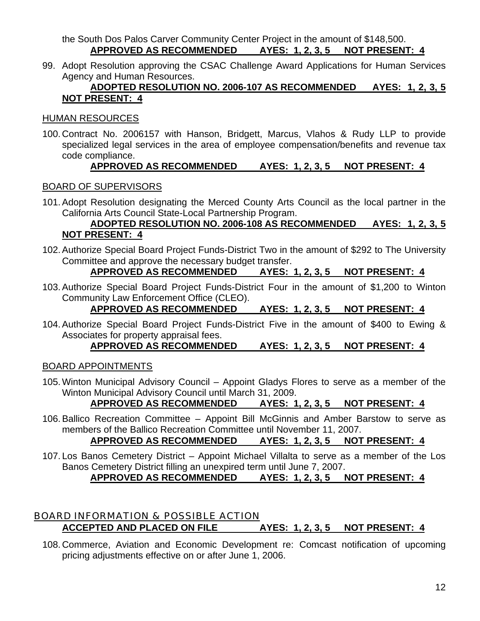the South Dos Palos Carver Community Center Project in the amount of \$148,500. **APPROVED AS RECOMMENDED AYES: 1, 2, 3, 5 NOT PRESENT: 4**

99. Adopt Resolution approving the CSAC Challenge Award Applications for Human Services Agency and Human Resources.

#### **ADOPTED RESOLUTION NO. 2006-107 AS RECOMMENDED AYES: 1, 2, 3, 5 NOT PRESENT: 4**

#### HUMAN RESOURCES

100. Contract No. 2006157 with Hanson, Bridgett, Marcus, Vlahos & Rudy LLP to provide specialized legal services in the area of employee compensation/benefits and revenue tax code compliance.

# **APPROVED AS RECOMMENDED AYES: 1, 2, 3, 5 NOT PRESENT: 4**

#### BOARD OF SUPERVISORS

101. Adopt Resolution designating the Merced County Arts Council as the local partner in the California Arts Council State-Local Partnership Program.

#### **ADOPTED RESOLUTION NO. 2006-108 AS RECOMMENDED AYES: 1, 2, 3, 5 NOT PRESENT: 4**

102. Authorize Special Board Project Funds-District Two in the amount of \$292 to The University Committee and approve the necessary budget transfer.

# **APPROVED AS RECOMMENDED AYES: 1, 2, 3, 5 NOT PRESENT: 4**

103. Authorize Special Board Project Funds-District Four in the amount of \$1,200 to Winton Community Law Enforcement Office (CLEO).

# **APPROVED AS RECOMMENDED AYES: 1, 2, 3, 5 NOT PRESENT: 4**

104. Authorize Special Board Project Funds-District Five in the amount of \$400 to Ewing & Associates for property appraisal fees.

#### **APPROVED AS RECOMMENDED AYES: 1, 2, 3, 5 NOT PRESENT: 4**

#### BOARD APPOINTMENTS

105. Winton Municipal Advisory Council – Appoint Gladys Flores to serve as a member of the Winton Municipal Advisory Council until March 31, 2009.

# **APPROVED AS RECOMMENDED AYES: 1, 2, 3, 5 NOT PRESENT: 4**

106. Ballico Recreation Committee – Appoint Bill McGinnis and Amber Barstow to serve as members of the Ballico Recreation Committee until November 11, 2007.

**APPROVED AS RECOMMENDED AYES: 1, 2, 3, 5 NOT PRESENT: 4**

107. Los Banos Cemetery District – Appoint Michael Villalta to serve as a member of the Los Banos Cemetery District filling an unexpired term until June 7, 2007.

# **APPROVED AS RECOMMENDED AYES: 1, 2, 3, 5 NOT PRESENT: 4**

#### BOARD INFORMATION & POSSIBLE ACTION **ACCEPTED AND PLACED ON FILE AYES: 1, 2, 3, 5 NOT PRESENT: 4**

108. Commerce, Aviation and Economic Development re: Comcast notification of upcoming pricing adjustments effective on or after June 1, 2006.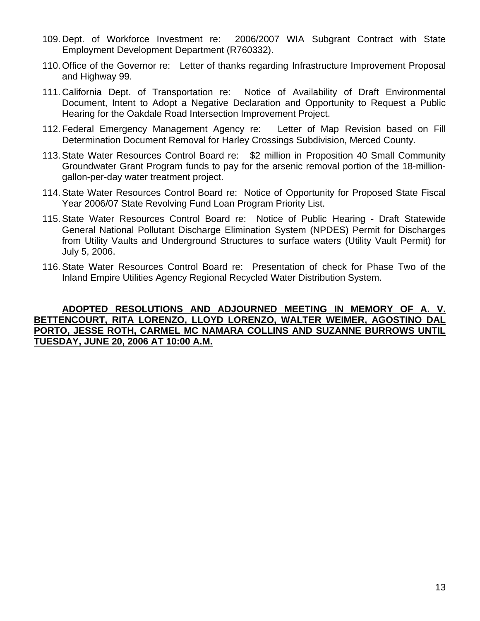- 109. Dept. of Workforce Investment re: 2006/2007 WIA Subgrant Contract with State Employment Development Department (R760332).
- 110. Office of the Governor re: Letter of thanks regarding Infrastructure Improvement Proposal and Highway 99.
- 111. California Dept. of Transportation re: Notice of Availability of Draft Environmental Document, Intent to Adopt a Negative Declaration and Opportunity to Request a Public Hearing for the Oakdale Road Intersection Improvement Project.
- 112. Federal Emergency Management Agency re: Letter of Map Revision based on Fill Determination Document Removal for Harley Crossings Subdivision, Merced County.
- 113. State Water Resources Control Board re: \$2 million in Proposition 40 Small Community Groundwater Grant Program funds to pay for the arsenic removal portion of the 18-milliongallon-per-day water treatment project.
- 114. State Water Resources Control Board re: Notice of Opportunity for Proposed State Fiscal Year 2006/07 State Revolving Fund Loan Program Priority List.
- 115. State Water Resources Control Board re: Notice of Public Hearing Draft Statewide General National Pollutant Discharge Elimination System (NPDES) Permit for Discharges from Utility Vaults and Underground Structures to surface waters (Utility Vault Permit) for July 5, 2006.
- 116. State Water Resources Control Board re: Presentation of check for Phase Two of the Inland Empire Utilities Agency Regional Recycled Water Distribution System.

#### **ADOPTED RESOLUTIONS AND ADJOURNED MEETING IN MEMORY OF A. V. BETTENCOURT, RITA LORENZO, LLOYD LORENZO, WALTER WEIMER, AGOSTINO DAL PORTO, JESSE ROTH, CARMEL MC NAMARA COLLINS AND SUZANNE BURROWS UNTIL TUESDAY, JUNE 20, 2006 AT 10:00 A.M.**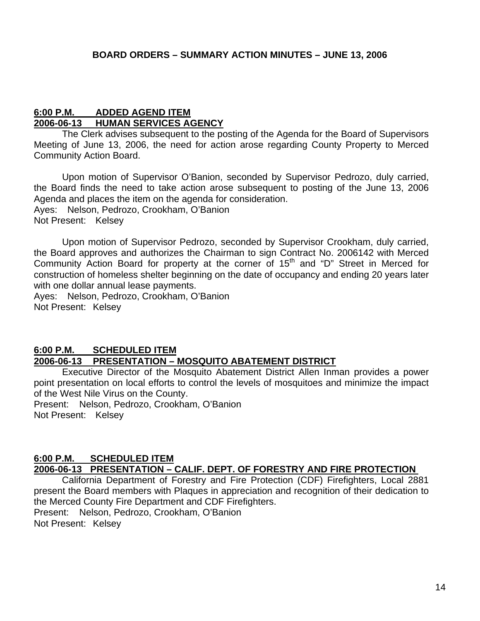#### **6:00 P.M. ADDED AGEND ITEM 2006-06-13 HUMAN SERVICES AGENCY**

The Clerk advises subsequent to the posting of the Agenda for the Board of Supervisors Meeting of June 13, 2006, the need for action arose regarding County Property to Merced Community Action Board.

 Upon motion of Supervisor O'Banion, seconded by Supervisor Pedrozo, duly carried, the Board finds the need to take action arose subsequent to posting of the June 13, 2006 Agenda and places the item on the agenda for consideration. Ayes: Nelson, Pedrozo, Crookham, O'Banion Not Present: Kelsey

 Upon motion of Supervisor Pedrozo, seconded by Supervisor Crookham, duly carried, the Board approves and authorizes the Chairman to sign Contract No. 2006142 with Merced Community Action Board for property at the corner of 15<sup>th</sup> and "D" Street in Merced for construction of homeless shelter beginning on the date of occupancy and ending 20 years later with one dollar annual lease payments.

Ayes: Nelson, Pedrozo, Crookham, O'Banion Not Present: Kelsey

#### **6:00 P.M. SCHEDULED ITEM**

#### **2006-06-13 PRESENTATION – MOSQUITO ABATEMENT DISTRICT**

Executive Director of the Mosquito Abatement District Allen Inman provides a power point presentation on local efforts to control the levels of mosquitoes and minimize the impact of the West Nile Virus on the County.

Present: Nelson, Pedrozo, Crookham, O'Banion Not Present: Kelsey

#### **6:00 P.M. SCHEDULED ITEM 2006-06-13 PRESENTATION – CALIF. DEPT. OF FORESTRY AND FIRE PROTECTION**

California Department of Forestry and Fire Protection (CDF) Firefighters, Local 2881 present the Board members with Plaques in appreciation and recognition of their dedication to the Merced County Fire Department and CDF Firefighters. Present: Nelson, Pedrozo, Crookham, O'Banion Not Present: Kelsey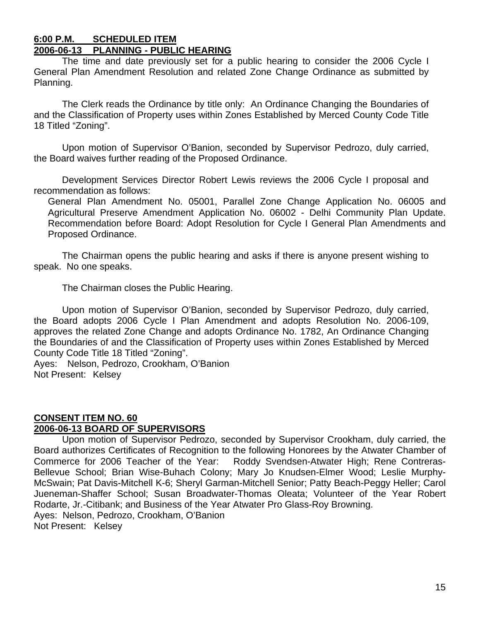#### **6:00 P.M. SCHEDULED ITEM 2006-06-13 PLANNING - PUBLIC HEARING**

The time and date previously set for a public hearing to consider the 2006 Cycle I General Plan Amendment Resolution and related Zone Change Ordinance as submitted by Planning.

The Clerk reads the Ordinance by title only: An Ordinance Changing the Boundaries of and the Classification of Property uses within Zones Established by Merced County Code Title 18 Titled "Zoning".

 Upon motion of Supervisor O'Banion, seconded by Supervisor Pedrozo, duly carried, the Board waives further reading of the Proposed Ordinance.

 Development Services Director Robert Lewis reviews the 2006 Cycle I proposal and recommendation as follows:

General Plan Amendment No. 05001, Parallel Zone Change Application No. 06005 and Agricultural Preserve Amendment Application No. 06002 - Delhi Community Plan Update. Recommendation before Board: Adopt Resolution for Cycle I General Plan Amendments and Proposed Ordinance.

 The Chairman opens the public hearing and asks if there is anyone present wishing to speak. No one speaks.

The Chairman closes the Public Hearing.

 Upon motion of Supervisor O'Banion, seconded by Supervisor Pedrozo, duly carried, the Board adopts 2006 Cycle I Plan Amendment and adopts Resolution No. 2006-109, approves the related Zone Change and adopts Ordinance No. 1782, An Ordinance Changing the Boundaries of and the Classification of Property uses within Zones Established by Merced County Code Title 18 Titled "Zoning".

Ayes: Nelson, Pedrozo, Crookham, O'Banion Not Present: Kelsey

#### **CONSENT ITEM NO. 60 2006-06-13 BOARD OF SUPERVISORS**

 Upon motion of Supervisor Pedrozo, seconded by Supervisor Crookham, duly carried, the Board authorizes Certificates of Recognition to the following Honorees by the Atwater Chamber of Commerce for 2006 Teacher of the Year: Roddy Svendsen-Atwater High; Rene Contreras-Bellevue School; Brian Wise-Buhach Colony; Mary Jo Knudsen-Elmer Wood; Leslie Murphy-McSwain; Pat Davis-Mitchell K-6; Sheryl Garman-Mitchell Senior; Patty Beach-Peggy Heller; Carol Jueneman-Shaffer School; Susan Broadwater-Thomas Oleata; Volunteer of the Year Robert Rodarte, Jr.-Citibank; and Business of the Year Atwater Pro Glass-Roy Browning. Ayes: Nelson, Pedrozo, Crookham, O'Banion Not Present: Kelsey